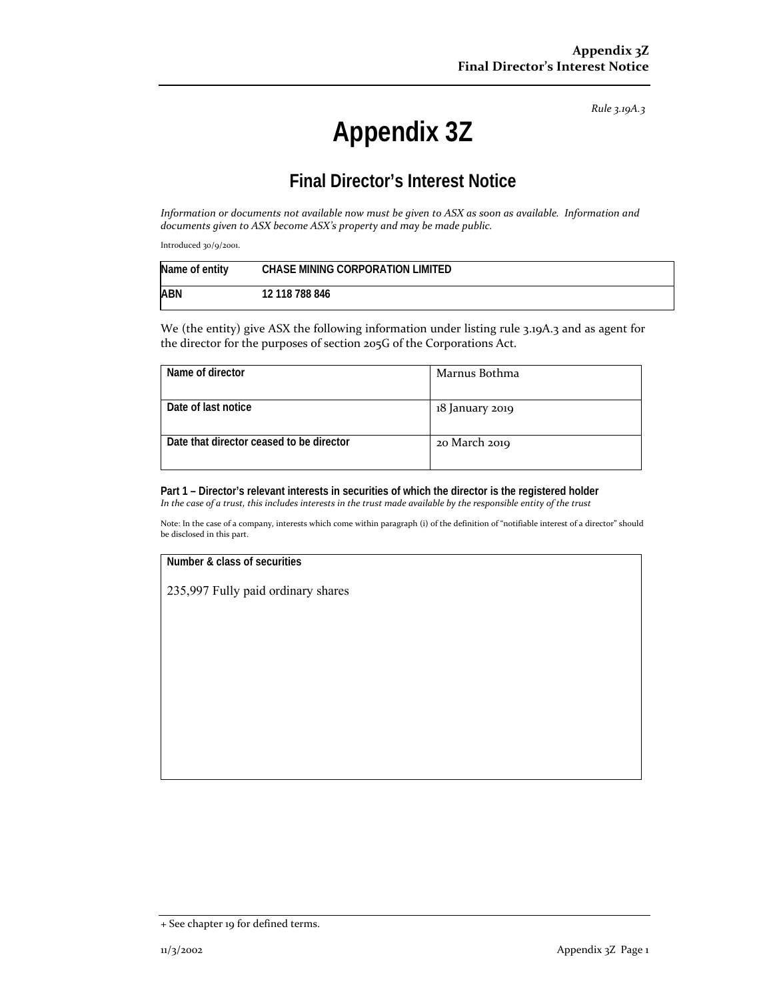*Rule 3.19A.3*

# **Appendix 3Z**

## **Final Director's Interest Notice**

Information or documents not available now must be given to ASX as soon as available. Information and *documents given to ASX become ASX's property and may be made public.*

Introduced 30/9/2001.

| Name of entity | <b>CHASE MINING CORPORATION LIMITED</b> |
|----------------|-----------------------------------------|
| ABN            | 12 118 788 846                          |

We (the entity) give ASX the following information under listing rule 3.19A.3 and as agent for the director for the purposes of section 205G of the Corporations Act.

| Name of director                         | Marnus Bothma   |
|------------------------------------------|-----------------|
| Date of last notice                      | 18 January 2019 |
| Date that director ceased to be director | 20 March 2019   |

**Part 1 – Director's relevant interests in securities of which the director is the registered holder** In the case of a trust, this includes interests in the trust made available by the responsible entity of the trust

Note: In the case of a company, interests which come within paragraph (i) of the definition of "notifiable interest of a director" should be disclosed in this part.

#### **Number & class of securities**

235,997 Fully paid ordinary shares

<sup>+</sup> See chapter 19 for defined terms.